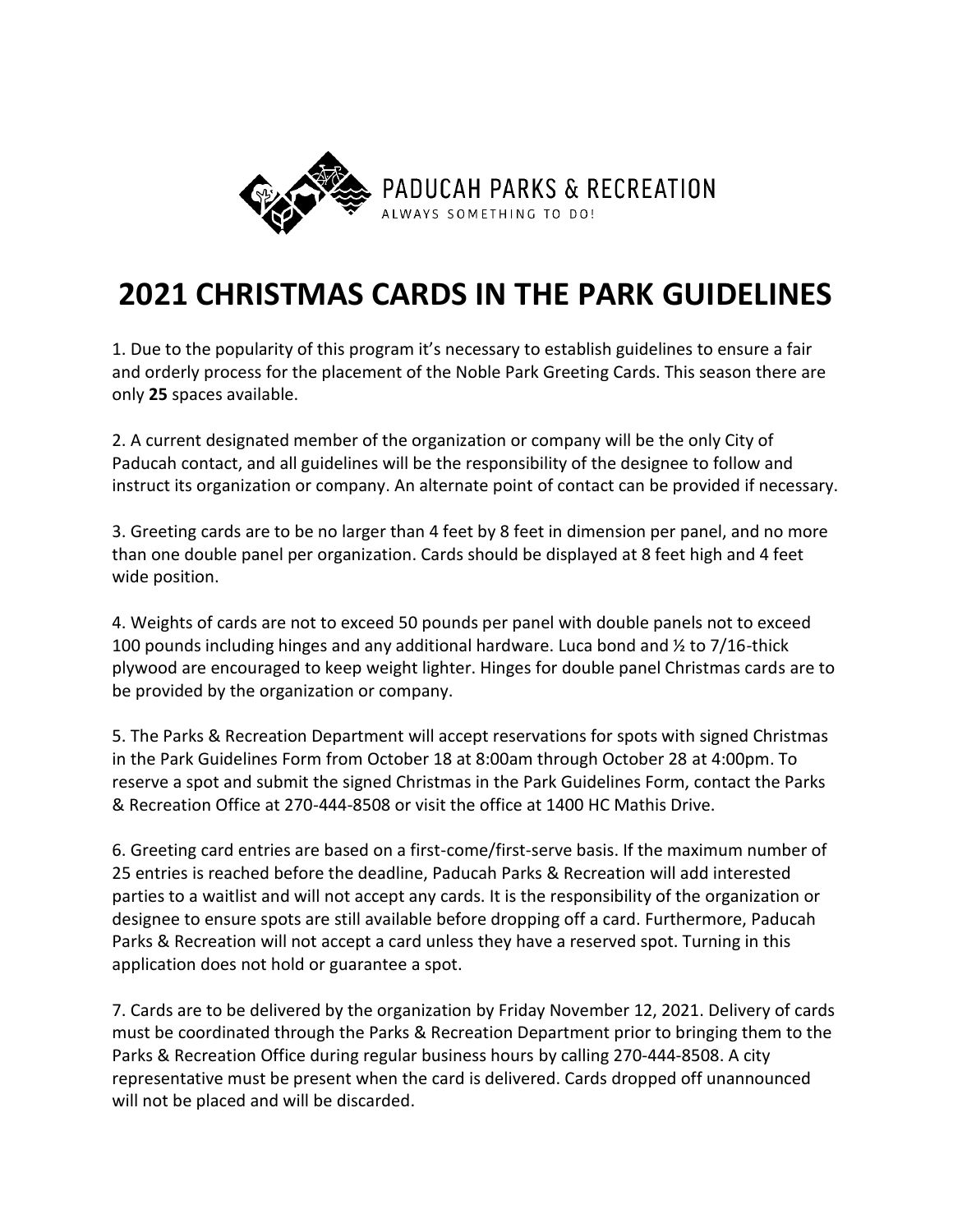

## **2021 CHRISTMAS CARDS IN THE PARK GUIDELINES**

1. Due to the popularity of this program it's necessary to establish guidelines to ensure a fair and orderly process for the placement of the Noble Park Greeting Cards. This season there are only **25** spaces available.

2. A current designated member of the organization or company will be the only City of Paducah contact, and all guidelines will be the responsibility of the designee to follow and instruct its organization or company. An alternate point of contact can be provided if necessary.

3. Greeting cards are to be no larger than 4 feet by 8 feet in dimension per panel, and no more than one double panel per organization. Cards should be displayed at 8 feet high and 4 feet wide position.

4. Weights of cards are not to exceed 50 pounds per panel with double panels not to exceed 100 pounds including hinges and any additional hardware. Luca bond and  $\frac{1}{2}$  to 7/16-thick plywood are encouraged to keep weight lighter. Hinges for double panel Christmas cards are to be provided by the organization or company.

5. The Parks & Recreation Department will accept reservations for spots with signed Christmas in the Park Guidelines Form from October 18 at 8:00am through October 28 at 4:00pm. To reserve a spot and submit the signed Christmas in the Park Guidelines Form, contact the Parks & Recreation Office at 270-444-8508 or visit the office at 1400 HC Mathis Drive.

6. Greeting card entries are based on a first-come/first-serve basis. If the maximum number of 25 entries is reached before the deadline, Paducah Parks & Recreation will add interested parties to a waitlist and will not accept any cards. It is the responsibility of the organization or designee to ensure spots are still available before dropping off a card. Furthermore, Paducah Parks & Recreation will not accept a card unless they have a reserved spot. Turning in this application does not hold or guarantee a spot.

7. Cards are to be delivered by the organization by Friday November 12, 2021. Delivery of cards must be coordinated through the Parks & Recreation Department prior to bringing them to the Parks & Recreation Office during regular business hours by calling 270-444-8508. A city representative must be present when the card is delivered. Cards dropped off unannounced will not be placed and will be discarded.